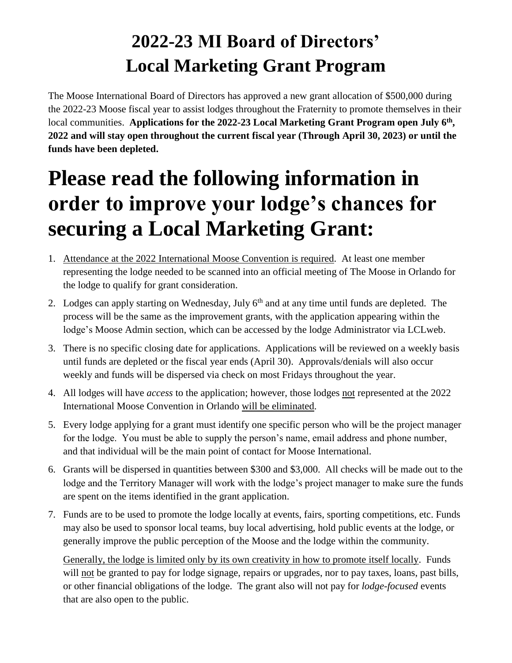## **2022-23 MI Board of Directors' Local Marketing Grant Program**

The Moose International Board of Directors has approved a new grant allocation of \$500,000 during the 2022-23 Moose fiscal year to assist lodges throughout the Fraternity to promote themselves in their local communities. **Applications for the 2022-23 Local Marketing Grant Program open July 6th , 2022 and will stay open throughout the current fiscal year (Through April 30, 2023) or until the funds have been depleted.**

## **Please read the following information in order to improve your lodge's chances for securing a Local Marketing Grant:**

- 1. Attendance at the 2022 International Moose Convention is required. At least one member representing the lodge needed to be scanned into an official meeting of The Moose in Orlando for the lodge to qualify for grant consideration.
- 2. Lodges can apply starting on Wednesday, July  $6<sup>th</sup>$  and at any time until funds are depleted. The process will be the same as the improvement grants, with the application appearing within the lodge's Moose Admin section, which can be accessed by the lodge Administrator via LCLweb.
- 3. There is no specific closing date for applications. Applications will be reviewed on a weekly basis until funds are depleted or the fiscal year ends (April 30). Approvals/denials will also occur weekly and funds will be dispersed via check on most Fridays throughout the year.
- 4. All lodges will have *access* to the application; however, those lodges not represented at the 2022 International Moose Convention in Orlando will be eliminated.
- 5. Every lodge applying for a grant must identify one specific person who will be the project manager for the lodge. You must be able to supply the person's name, email address and phone number, and that individual will be the main point of contact for Moose International.
- 6. Grants will be dispersed in quantities between \$300 and \$3,000. All checks will be made out to the lodge and the Territory Manager will work with the lodge's project manager to make sure the funds are spent on the items identified in the grant application.
- 7. Funds are to be used to promote the lodge locally at events, fairs, sporting competitions, etc. Funds may also be used to sponsor local teams, buy local advertising, hold public events at the lodge, or generally improve the public perception of the Moose and the lodge within the community.

Generally, the lodge is limited only by its own creativity in how to promote itself locally. Funds will not be granted to pay for lodge signage, repairs or upgrades, nor to pay taxes, loans, past bills, or other financial obligations of the lodge. The grant also will not pay for *lodge-focused* events that are also open to the public.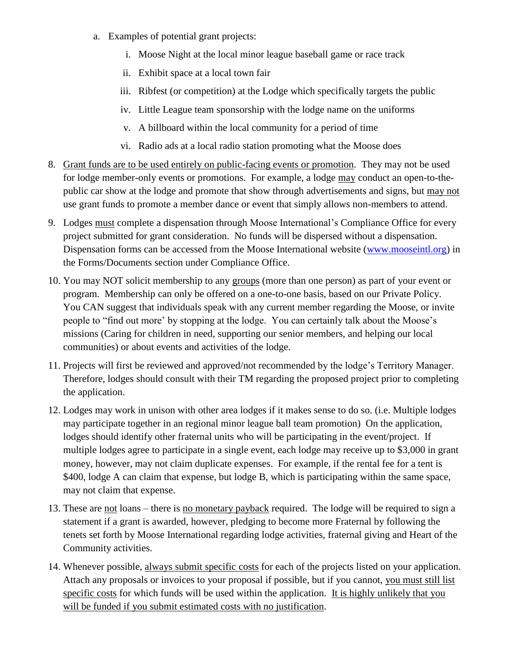- a. Examples of potential grant projects:
	- i. Moose Night at the local minor league baseball game or race track
	- ii. Exhibit space at a local town fair
	- iii. Ribfest (or competition) at the Lodge which specifically targets the public
	- iv. Little League team sponsorship with the lodge name on the uniforms
	- v. A billboard within the local community for a period of time
	- vi. Radio ads at a local radio station promoting what the Moose does
- 8. Grant funds are to be used entirely on public-facing events or promotion. They may not be used for lodge member-only events or promotions. For example, a lodge may conduct an open-to-thepublic car show at the lodge and promote that show through advertisements and signs, but may not use grant funds to promote a member dance or event that simply allows non-members to attend.
- 9. Lodges must complete a dispensation through Moose International's Compliance Office for every project submitted for grant consideration. No funds will be dispersed without a dispensation. Dispensation forms can be accessed from the Moose International website [\(www.mooseintl.org\)](http://www.mooseintl.org/) in the Forms/Documents section under Compliance Office.
- 10. You may NOT solicit membership to any groups (more than one person) as part of your event or program. Membership can only be offered on a one-to-one basis, based on our Private Policy. You CAN suggest that individuals speak with any current member regarding the Moose, or invite people to "find out more' by stopping at the lodge. You can certainly talk about the Moose's missions (Caring for children in need, supporting our senior members, and helping our local communities) or about events and activities of the lodge.
- 11. Projects will first be reviewed and approved/not recommended by the lodge's Territory Manager. Therefore, lodges should consult with their TM regarding the proposed project prior to completing the application.
- 12. Lodges may work in unison with other area lodges if it makes sense to do so. (i.e. Multiple lodges may participate together in an regional minor league ball team promotion) On the application, lodges should identify other fraternal units who will be participating in the event/project. If multiple lodges agree to participate in a single event, each lodge may receive up to \$3,000 in grant money, however, may not claim duplicate expenses. For example, if the rental fee for a tent is \$400, lodge A can claim that expense, but lodge B, which is participating within the same space, may not claim that expense.
- 13. These are not loans there is no monetary payback required. The lodge will be required to sign a statement if a grant is awarded, however, pledging to become more Fraternal by following the tenets set forth by Moose International regarding lodge activities, fraternal giving and Heart of the Community activities.
- 14. Whenever possible, always submit specific costs for each of the projects listed on your application. Attach any proposals or invoices to your proposal if possible, but if you cannot, you must still list specific costs for which funds will be used within the application. It is highly unlikely that you will be funded if you submit estimated costs with no justification.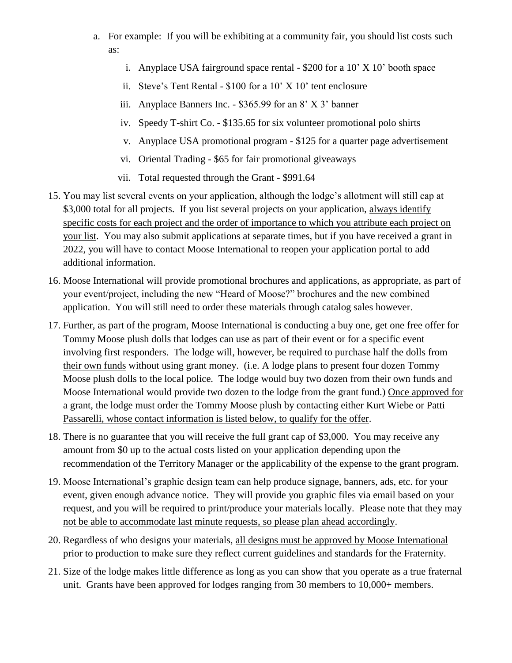- a. For example: If you will be exhibiting at a community fair, you should list costs such as:
	- i. Anyplace USA fairground space rental \$200 for a 10' X 10' booth space
	- ii. Steve's Tent Rental \$100 for a 10' X 10' tent enclosure
	- iii. Anyplace Banners Inc. \$365.99 for an 8' X 3' banner
	- iv. Speedy T-shirt Co. \$135.65 for six volunteer promotional polo shirts
	- v. Anyplace USA promotional program \$125 for a quarter page advertisement
	- vi. Oriental Trading \$65 for fair promotional giveaways
	- vii. Total requested through the Grant \$991.64
- 15. You may list several events on your application, although the lodge's allotment will still cap at \$3,000 total for all projects. If you list several projects on your application, always identify specific costs for each project and the order of importance to which you attribute each project on your list. You may also submit applications at separate times, but if you have received a grant in 2022, you will have to contact Moose International to reopen your application portal to add additional information.
- 16. Moose International will provide promotional brochures and applications, as appropriate, as part of your event/project, including the new "Heard of Moose?" brochures and the new combined application. You will still need to order these materials through catalog sales however.
- 17. Further, as part of the program, Moose International is conducting a buy one, get one free offer for Tommy Moose plush dolls that lodges can use as part of their event or for a specific event involving first responders. The lodge will, however, be required to purchase half the dolls from their own funds without using grant money. (i.e. A lodge plans to present four dozen Tommy Moose plush dolls to the local police. The lodge would buy two dozen from their own funds and Moose International would provide two dozen to the lodge from the grant fund.) Once approved for a grant, the lodge must order the Tommy Moose plush by contacting either Kurt Wiebe or Patti Passarelli, whose contact information is listed below, to qualify for the offer.
- 18. There is no guarantee that you will receive the full grant cap of \$3,000. You may receive any amount from \$0 up to the actual costs listed on your application depending upon the recommendation of the Territory Manager or the applicability of the expense to the grant program.
- 19. Moose International's graphic design team can help produce signage, banners, ads, etc. for your event, given enough advance notice. They will provide you graphic files via email based on your request, and you will be required to print/produce your materials locally. Please note that they may not be able to accommodate last minute requests, so please plan ahead accordingly.
- 20. Regardless of who designs your materials, all designs must be approved by Moose International prior to production to make sure they reflect current guidelines and standards for the Fraternity.
- 21. Size of the lodge makes little difference as long as you can show that you operate as a true fraternal unit. Grants have been approved for lodges ranging from 30 members to 10,000+ members.